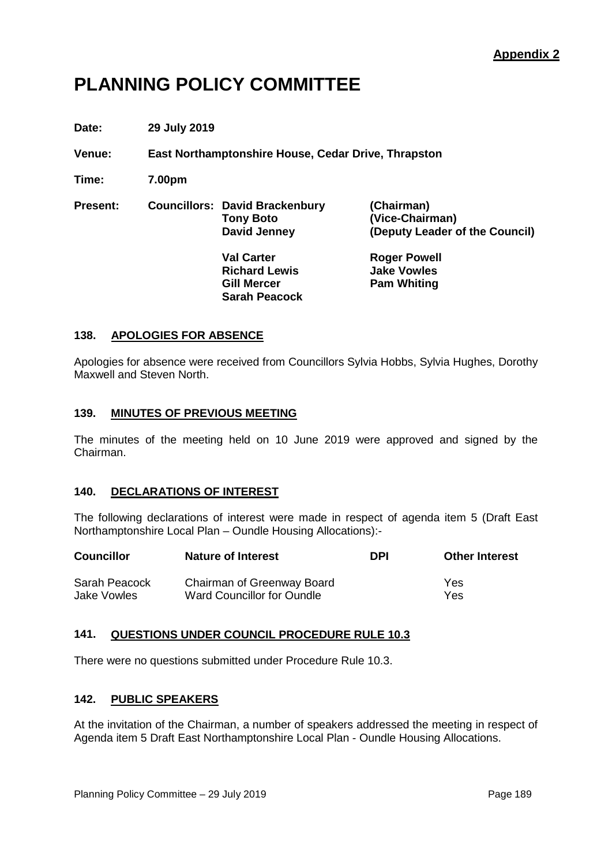# **PLANNING POLICY COMMITTEE**

**Date: 29 July 2019**

**Venue: East Northamptonshire House, Cedar Drive, Thrapston**

**Time: 7.00pm**

**Present: Councillors: David Brackenbury (Chairman) Tony Boto** (Vice-Chairman)<br>
David Jenney (Deputy Leader of

**David Jenney (Deputy Leader of the Council)**

**Val Carter Roger Powell**<br> **Richard Lewis Richard Lewis Richard Lewis**<br>**Gill Mercer Sarah Peacock**

**Pam Whiting** 

# **138. APOLOGIES FOR ABSENCE**

Apologies for absence were received from Councillors Sylvia Hobbs, Sylvia Hughes, Dorothy Maxwell and Steven North.

# **139. MINUTES OF PREVIOUS MEETING**

The minutes of the meeting held on 10 June 2019 were approved and signed by the Chairman.

# **140. DECLARATIONS OF INTEREST**

The following declarations of interest were made in respect of agenda item 5 (Draft East Northamptonshire Local Plan – Oundle Housing Allocations):-

| <b>Councillor</b> | <b>Nature of Interest</b>  | <b>DPI</b> | <b>Other Interest</b> |
|-------------------|----------------------------|------------|-----------------------|
| Sarah Peacock     | Chairman of Greenway Board |            | Yes                   |
| Jake Vowles       | Ward Councillor for Oundle |            | Yes                   |

# **141. QUESTIONS UNDER COUNCIL PROCEDURE RULE 10.3**

There were no questions submitted under Procedure Rule 10.3.

# **142. PUBLIC SPEAKERS**

At the invitation of the Chairman, a number of speakers addressed the meeting in respect of Agenda item 5 Draft East Northamptonshire Local Plan - Oundle Housing Allocations.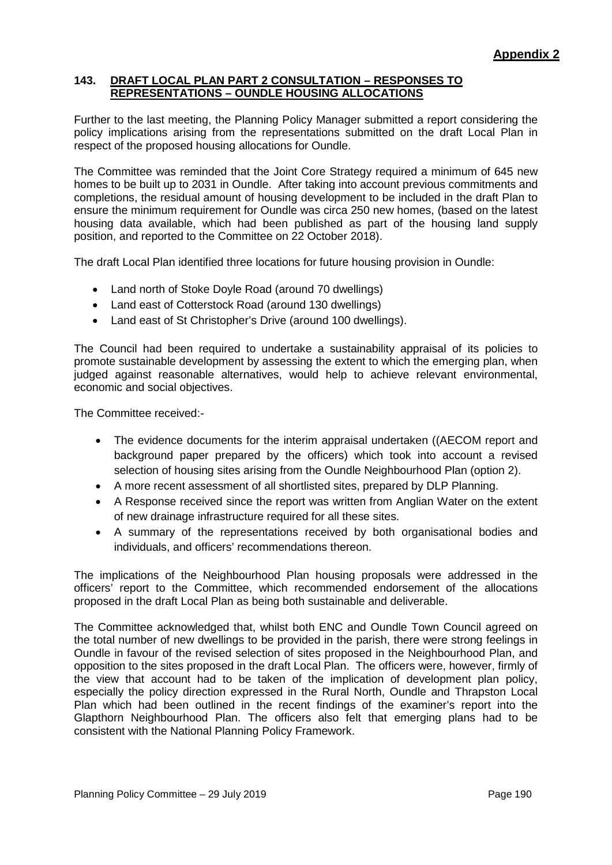# **143. DRAFT LOCAL PLAN PART 2 CONSULTATION – RESPONSES TO REPRESENTATIONS – OUNDLE HOUSING ALLOCATIONS**

Further to the last meeting, the Planning Policy Manager submitted a report considering the policy implications arising from the representations submitted on the draft Local Plan in respect of the proposed housing allocations for Oundle.

The Committee was reminded that the Joint Core Strategy required a minimum of 645 new homes to be built up to 2031 in Oundle. After taking into account previous commitments and completions, the residual amount of housing development to be included in the draft Plan to ensure the minimum requirement for Oundle was circa 250 new homes, (based on the latest housing data available, which had been published as part of the housing land supply position, and reported to the Committee on 22 October 2018).

The draft Local Plan identified three locations for future housing provision in Oundle:

- Land north of Stoke Doyle Road (around 70 dwellings)
- Land east of Cotterstock Road (around 130 dwellings)
- Land east of St Christopher's Drive (around 100 dwellings).

The Council had been required to undertake a sustainability appraisal of its policies to promote sustainable development by assessing the extent to which the emerging plan, when judged against reasonable alternatives, would help to achieve relevant environmental, economic and social objectives.

The Committee received:-

- The evidence documents for the interim appraisal undertaken ((AECOM report and background paper prepared by the officers) which took into account a revised selection of housing sites arising from the Oundle Neighbourhood Plan (option 2).
- A more recent assessment of all shortlisted sites, prepared by DLP Planning.
- A Response received since the report was written from Anglian Water on the extent of new drainage infrastructure required for all these sites.
- A summary of the representations received by both organisational bodies and individuals, and officers' recommendations thereon.

The implications of the Neighbourhood Plan housing proposals were addressed in the officers' report to the Committee, which recommended endorsement of the allocations proposed in the draft Local Plan as being both sustainable and deliverable.

The Committee acknowledged that, whilst both ENC and Oundle Town Council agreed on the total number of new dwellings to be provided in the parish, there were strong feelings in Oundle in favour of the revised selection of sites proposed in the Neighbourhood Plan, and opposition to the sites proposed in the draft Local Plan. The officers were, however, firmly of the view that account had to be taken of the implication of development plan policy, especially the policy direction expressed in the Rural North, Oundle and Thrapston Local Plan which had been outlined in the recent findings of the examiner's report into the Glapthorn Neighbourhood Plan. The officers also felt that emerging plans had to be consistent with the National Planning Policy Framework.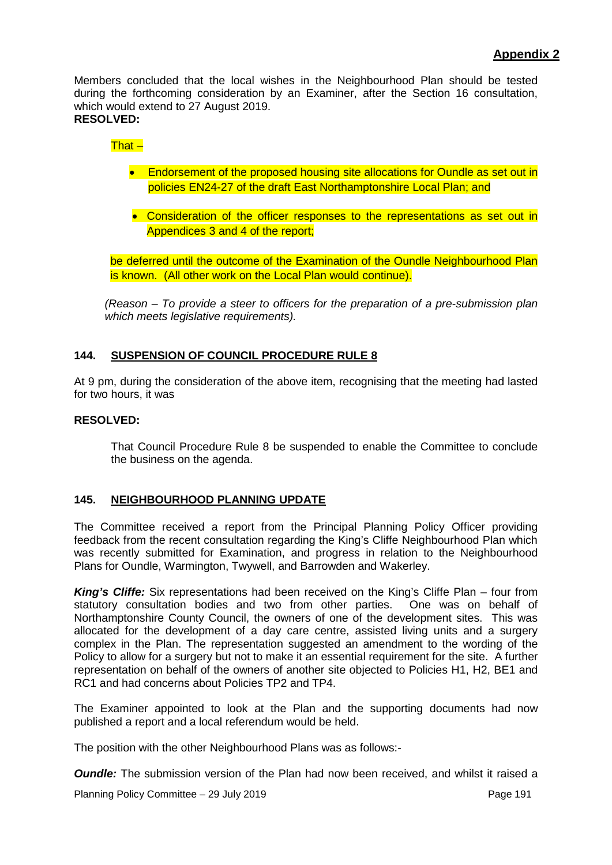Members concluded that the local wishes in the Neighbourhood Plan should be tested during the forthcoming consideration by an Examiner, after the Section 16 consultation, which would extend to 27 August 2019. **RESOLVED:**

#### That –

- Endorsement of the proposed housing site allocations for Oundle as set out in policies EN24-27 of the draft East Northamptonshire Local Plan; and
- Consideration of the officer responses to the representations as set out in Appendices 3 and 4 of the report;

be deferred until the outcome of the Examination of the Oundle Neighbourhood Plan is known. (All other work on the Local Plan would continue).

*(Reason – To provide a steer to officers for the preparation of a pre-submission plan which meets legislative requirements).*

#### **144. SUSPENSION OF COUNCIL PROCEDURE RULE 8**

At 9 pm, during the consideration of the above item, recognising that the meeting had lasted for two hours, it was

#### **RESOLVED:**

That Council Procedure Rule 8 be suspended to enable the Committee to conclude the business on the agenda.

#### **145. NEIGHBOURHOOD PLANNING UPDATE**

The Committee received a report from the Principal Planning Policy Officer providing feedback from the recent consultation regarding the King's Cliffe Neighbourhood Plan which was recently submitted for Examination, and progress in relation to the Neighbourhood Plans for Oundle, Warmington, Twywell, and Barrowden and Wakerley.

*King's Cliffe:* Six representations had been received on the King's Cliffe Plan – four from statutory consultation bodies and two from other parties. One was on behalf of Northamptonshire County Council, the owners of one of the development sites. This was allocated for the development of a day care centre, assisted living units and a surgery complex in the Plan. The representation suggested an amendment to the wording of the Policy to allow for a surgery but not to make it an essential requirement for the site. A further representation on behalf of the owners of another site objected to Policies H1, H2, BE1 and RC1 and had concerns about Policies TP2 and TP4.

The Examiner appointed to look at the Plan and the supporting documents had now published a report and a local referendum would be held.

The position with the other Neighbourhood Plans was as follows:-

*Oundle:* The submission version of the Plan had now been received, and whilst it raised a

Planning Policy Committee – 29 July 2019 Page 191